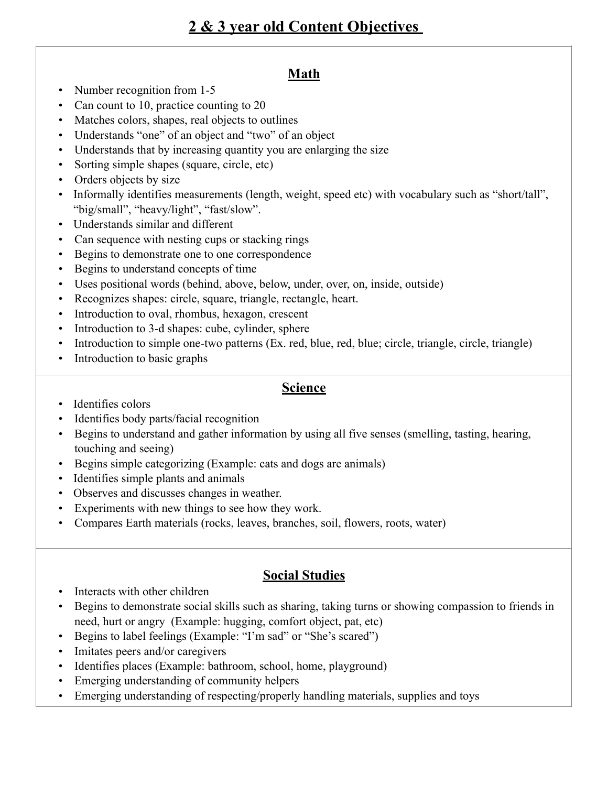# **2 & 3 year old Content Objectives**

### **Math**

- Number recognition from 1-5
- Can count to 10, practice counting to 20
- Matches colors, shapes, real objects to outlines
- Understands "one" of an object and "two" of an object
- Understands that by increasing quantity you are enlarging the size
- Sorting simple shapes (square, circle, etc)
- Orders objects by size
- Informally identifies measurements (length, weight, speed etc) with vocabulary such as "short/tall", "big/small", "heavy/light", "fast/slow".
- Understands similar and different
- Can sequence with nesting cups or stacking rings
- Begins to demonstrate one to one correspondence
- Begins to understand concepts of time
- Uses positional words (behind, above, below, under, over, on, inside, outside)
- Recognizes shapes: circle, square, triangle, rectangle, heart.
- Introduction to oval, rhombus, hexagon, crescent
- Introduction to 3-d shapes: cube, cylinder, sphere
- Introduction to simple one-two patterns (Ex. red, blue, red, blue; circle, triangle, circle, triangle)
- Introduction to basic graphs

### **Science**

- Identifies colors
- Identifies body parts/facial recognition
- Begins to understand and gather information by using all five senses (smelling, tasting, hearing, touching and seeing)
- Begins simple categorizing (Example: cats and dogs are animals)
- Identifies simple plants and animals
- Observes and discusses changes in weather.
- Experiments with new things to see how they work.
- Compares Earth materials (rocks, leaves, branches, soil, flowers, roots, water)

## **Social Studies**

- Interacts with other children
- Begins to demonstrate social skills such as sharing, taking turns or showing compassion to friends in need, hurt or angry (Example: hugging, comfort object, pat, etc)
- Begins to label feelings (Example: "I'm sad" or "She's scared")
- Imitates peers and/or caregivers
- Identifies places (Example: bathroom, school, home, playground)
- Emerging understanding of community helpers
- Emerging understanding of respecting/properly handling materials, supplies and toys